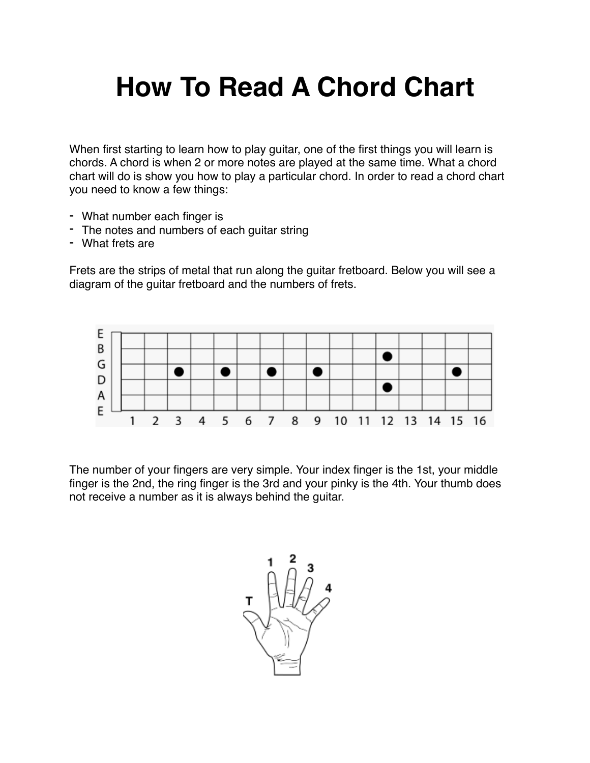## **How To Read A Chord Chart**

When first starting to learn how to play guitar, one of the first things you will learn is chords. A chord is when 2 or more notes are played at the same time. What a chord chart will do is show you how to play a particular chord. In order to read a chord chart you need to know a few things:

- What number each finger is
- The notes and numbers of each guitar string
- What frets are

Frets are the strips of metal that run along the guitar fretboard. Below you will see a diagram of the guitar fretboard and the numbers of frets.



The number of your fingers are very simple. Your index finger is the 1st, your middle finger is the 2nd, the ring finger is the 3rd and your pinky is the 4th. Your thumb does not receive a number as it is always behind the guitar.

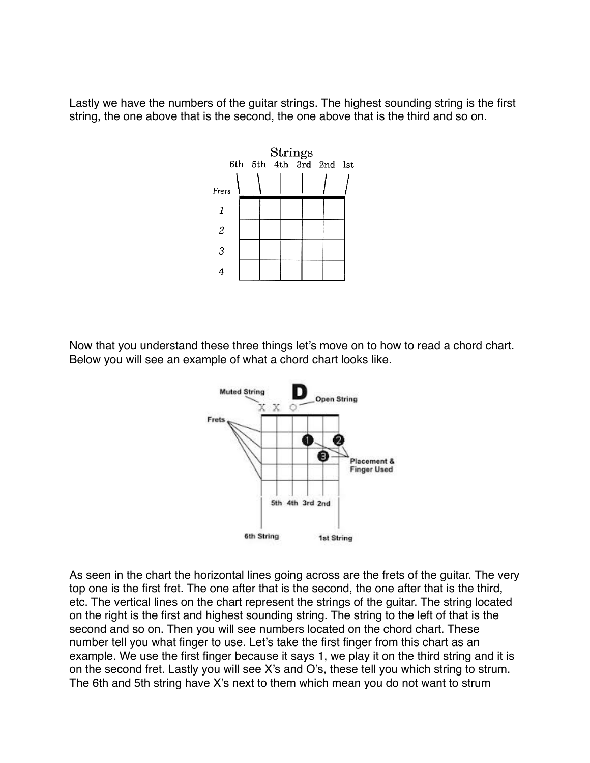Lastly we have the numbers of the guitar strings. The highest sounding string is the first string, the one above that is the second, the one above that is the third and so on.



Now that you understand these three things let's move on to how to read a chord chart. Below you will see an example of what a chord chart looks like.



As seen in the chart the horizontal lines going across are the frets of the guitar. The very top one is the first fret. The one after that is the second, the one after that is the third, etc. The vertical lines on the chart represent the strings of the guitar. The string located on the right is the first and highest sounding string. The string to the left of that is the second and so on. Then you will see numbers located on the chord chart. These number tell you what finger to use. Let's take the first finger from this chart as an example. We use the first finger because it says 1, we play it on the third string and it is on the second fret. Lastly you will see X's and O's, these tell you which string to strum. The 6th and 5th string have X's next to them which mean you do not want to strum